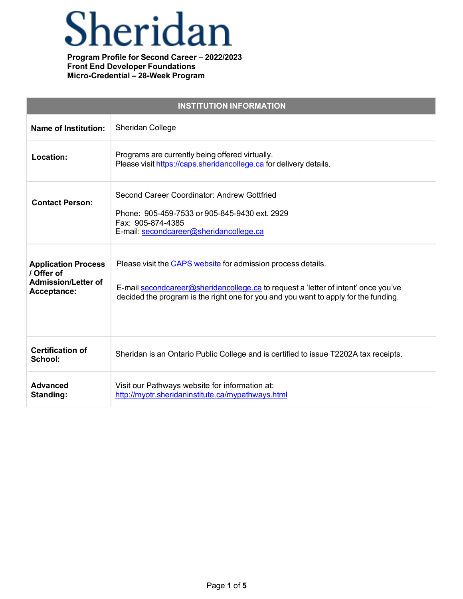# Sheridan

| <b>INSTITUTION INFORMATION</b>                                                        |                                                                                                                                                                                                                                           |
|---------------------------------------------------------------------------------------|-------------------------------------------------------------------------------------------------------------------------------------------------------------------------------------------------------------------------------------------|
| <b>Name of Institution:</b>                                                           | Sheridan College                                                                                                                                                                                                                          |
| Location:                                                                             | Programs are currently being offered virtually.<br>Please visit https://caps.sheridancollege.ca for delivery details.                                                                                                                     |
| <b>Contact Person:</b>                                                                | Second Career Coordinator: Andrew Gottfried<br>Phone: 905-459-7533 or 905-845-9430 ext. 2929<br>Fax: 905-874-4385<br>E-mail: secondcareer@sheridancollege.ca                                                                              |
| <b>Application Process</b><br>/ Offer of<br><b>Admission/Letter of</b><br>Acceptance: | Please visit the CAPS website for admission process details.<br>E-mail secondcareer@sheridancollege.ca to request a 'letter of intent' once you've<br>decided the program is the right one for you and you want to apply for the funding. |
| <b>Certification of</b><br>School:                                                    | Sheridan is an Ontario Public College and is certified to issue T2202A tax receipts.                                                                                                                                                      |
| <b>Advanced</b><br>Standing:                                                          | Visit our Pathways website for information at:<br>http://myotr.sheridaninstitute.ca/mypathways.html                                                                                                                                       |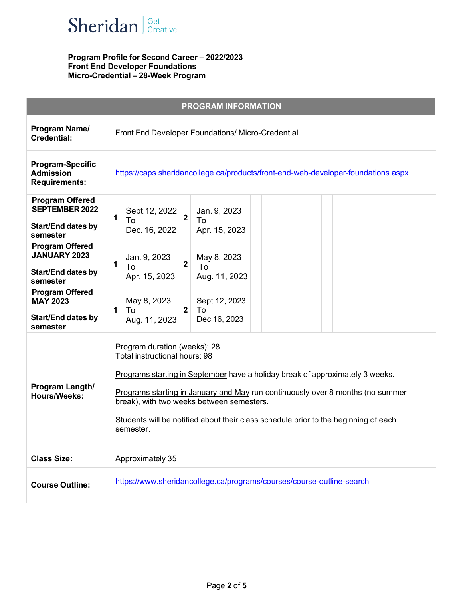

| <b>PROGRAM INFORMATION</b>                                                             |                                                                                                                                                                                                                                                                                                                                                                                   |  |
|----------------------------------------------------------------------------------------|-----------------------------------------------------------------------------------------------------------------------------------------------------------------------------------------------------------------------------------------------------------------------------------------------------------------------------------------------------------------------------------|--|
| Program Name/<br><b>Credential:</b>                                                    | Front End Developer Foundations/ Micro-Credential                                                                                                                                                                                                                                                                                                                                 |  |
| <b>Program-Specific</b><br><b>Admission</b><br><b>Requirements:</b>                    | https://caps.sheridancollege.ca/products/front-end-web-developer-foundations.aspx                                                                                                                                                                                                                                                                                                 |  |
| <b>Program Offered</b><br><b>SEPTEMBER 2022</b><br>Start/End dates by<br>semester      | Sept. 12, 2022<br>Jan. 9, 2023<br>$\overline{2}$<br>1<br>To<br>To<br>Apr. 15, 2023<br>Dec. 16, 2022                                                                                                                                                                                                                                                                               |  |
| <b>Program Offered</b><br><b>JANUARY 2023</b><br><b>Start/End dates by</b><br>semester | Jan. 9, 2023<br>May 8, 2023<br>$\overline{2}$<br>1<br>To<br>To<br>Apr. 15, 2023<br>Aug. 11, 2023                                                                                                                                                                                                                                                                                  |  |
| <b>Program Offered</b><br><b>MAY 2023</b><br><b>Start/End dates by</b><br>semester     | May 8, 2023<br>Sept 12, 2023<br>2 <sup>1</sup><br>To<br>1<br>To<br>Dec 16, 2023<br>Aug. 11, 2023                                                                                                                                                                                                                                                                                  |  |
| Program Length/<br><b>Hours/Weeks:</b>                                                 | Program duration (weeks): 28<br>Total instructional hours: 98<br>Programs starting in September have a holiday break of approximately 3 weeks.<br>Programs starting in January and May run continuously over 8 months (no summer<br>break), with two weeks between semesters.<br>Students will be notified about their class schedule prior to the beginning of each<br>semester. |  |
| <b>Class Size:</b>                                                                     | Approximately 35                                                                                                                                                                                                                                                                                                                                                                  |  |
| <b>Course Outline:</b>                                                                 | https://www.sheridancollege.ca/programs/courses/course-outline-search                                                                                                                                                                                                                                                                                                             |  |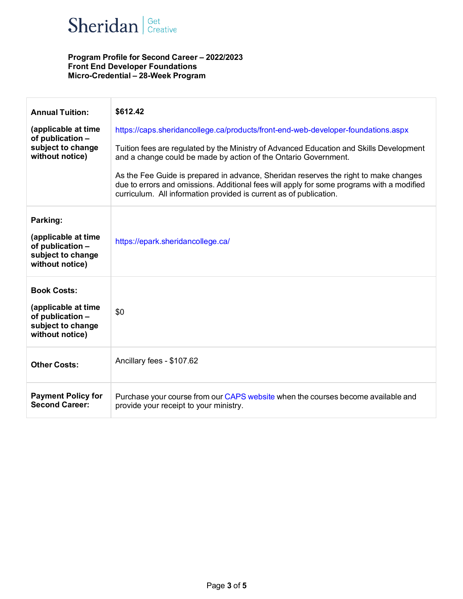

| <b>Annual Tuition:</b><br>(applicable at time<br>of publication -<br>subject to change<br>without notice) | \$612.42<br>https://caps.sheridancollege.ca/products/front-end-web-developer-foundations.aspx<br>Tuition fees are regulated by the Ministry of Advanced Education and Skills Development<br>and a change could be made by action of the Ontario Government.<br>As the Fee Guide is prepared in advance, Sheridan reserves the right to make changes<br>due to errors and omissions. Additional fees will apply for some programs with a modified<br>curriculum. All information provided is current as of publication. |
|-----------------------------------------------------------------------------------------------------------|------------------------------------------------------------------------------------------------------------------------------------------------------------------------------------------------------------------------------------------------------------------------------------------------------------------------------------------------------------------------------------------------------------------------------------------------------------------------------------------------------------------------|
| Parking:<br>(applicable at time<br>of publication -<br>subject to change<br>without notice)               | https://epark.sheridancollege.ca/                                                                                                                                                                                                                                                                                                                                                                                                                                                                                      |
| <b>Book Costs:</b><br>(applicable at time<br>of publication -<br>subject to change<br>without notice)     | \$0                                                                                                                                                                                                                                                                                                                                                                                                                                                                                                                    |
| <b>Other Costs:</b>                                                                                       | Ancillary fees - \$107.62                                                                                                                                                                                                                                                                                                                                                                                                                                                                                              |
| <b>Payment Policy for</b><br><b>Second Career:</b>                                                        | Purchase your course from our CAPS website when the courses become available and<br>provide your receipt to your ministry.                                                                                                                                                                                                                                                                                                                                                                                             |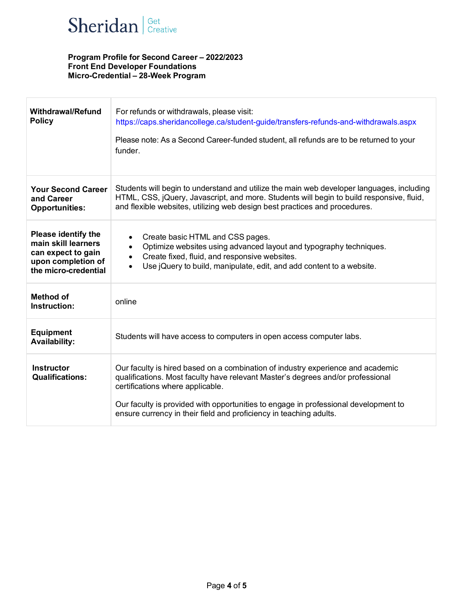

| <b>Withdrawal/Refund</b><br><b>Policy</b>                                                                             | For refunds or withdrawals, please visit:<br>https://caps.sheridancollege.ca/student-guide/transfers-refunds-and-withdrawals.aspx<br>Please note: As a Second Career-funded student, all refunds are to be returned to your<br>funder.                                                                                                                              |
|-----------------------------------------------------------------------------------------------------------------------|---------------------------------------------------------------------------------------------------------------------------------------------------------------------------------------------------------------------------------------------------------------------------------------------------------------------------------------------------------------------|
| <b>Your Second Career</b><br>and Career<br><b>Opportunities:</b>                                                      | Students will begin to understand and utilize the main web developer languages, including<br>HTML, CSS, jQuery, Javascript, and more. Students will begin to build responsive, fluid,<br>and flexible websites, utilizing web design best practices and procedures.                                                                                                 |
| <b>Please identify the</b><br>main skill learners<br>can expect to gain<br>upon completion of<br>the micro-credential | Create basic HTML and CSS pages.<br>Optimize websites using advanced layout and typography techniques.<br>$\bullet$<br>Create fixed, fluid, and responsive websites.<br>$\bullet$<br>Use jQuery to build, manipulate, edit, and add content to a website.<br>$\bullet$                                                                                              |
| <b>Method of</b><br>Instruction:                                                                                      | online                                                                                                                                                                                                                                                                                                                                                              |
| <b>Equipment</b><br><b>Availability:</b>                                                                              | Students will have access to computers in open access computer labs.                                                                                                                                                                                                                                                                                                |
| <b>Instructor</b><br><b>Qualifications:</b>                                                                           | Our faculty is hired based on a combination of industry experience and academic<br>qualifications. Most faculty have relevant Master's degrees and/or professional<br>certifications where applicable.<br>Our faculty is provided with opportunities to engage in professional development to<br>ensure currency in their field and proficiency in teaching adults. |